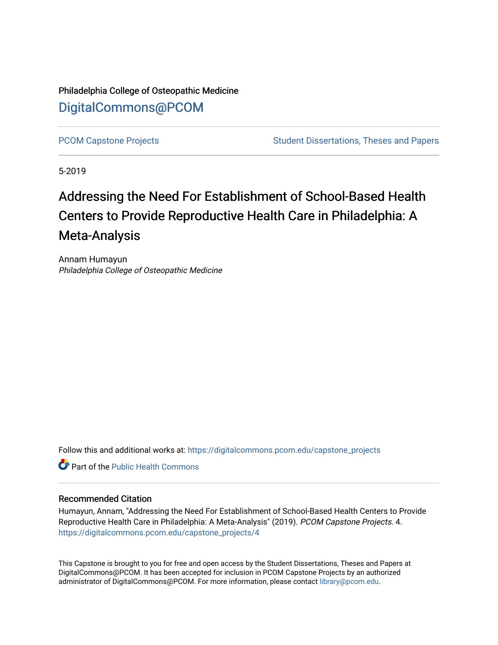Philadelphia College of Osteopathic Medicine [DigitalCommons@PCOM](https://digitalcommons.pcom.edu/) 

[PCOM Capstone Projects](https://digitalcommons.pcom.edu/capstone_projects) **Student Dissertations, Theses and Papers** Student Dissertations, Theses and Papers

5-2019

# Addressing the Need For Establishment of School-Based Health Centers to Provide Reproductive Health Care in Philadelphia: A Meta-Analysis

Annam Humayun Philadelphia College of Osteopathic Medicine

Follow this and additional works at: [https://digitalcommons.pcom.edu/capstone\\_projects](https://digitalcommons.pcom.edu/capstone_projects?utm_source=digitalcommons.pcom.edu%2Fcapstone_projects%2F4&utm_medium=PDF&utm_campaign=PDFCoverPages)

**C** Part of the Public Health Commons

## Recommended Citation

Humayun, Annam, "Addressing the Need For Establishment of School-Based Health Centers to Provide Reproductive Health Care in Philadelphia: A Meta-Analysis" (2019). PCOM Capstone Projects. 4. [https://digitalcommons.pcom.edu/capstone\\_projects/4](https://digitalcommons.pcom.edu/capstone_projects/4?utm_source=digitalcommons.pcom.edu%2Fcapstone_projects%2F4&utm_medium=PDF&utm_campaign=PDFCoverPages) 

This Capstone is brought to you for free and open access by the Student Dissertations, Theses and Papers at DigitalCommons@PCOM. It has been accepted for inclusion in PCOM Capstone Projects by an authorized administrator of DigitalCommons@PCOM. For more information, please contact [library@pcom.edu.](mailto:library@pcom.edu)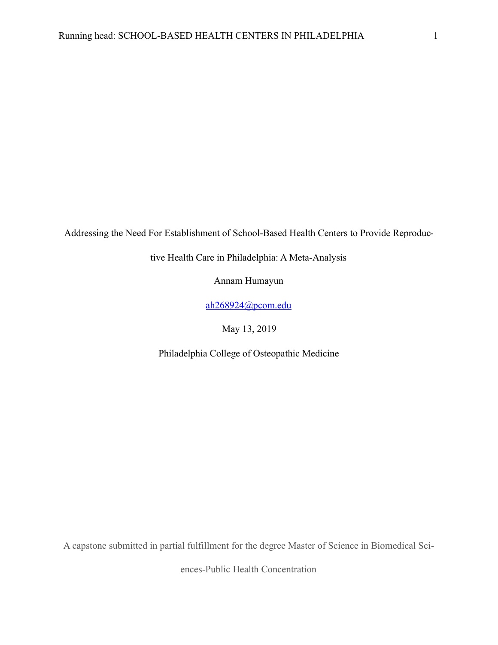Addressing the Need For Establishment of School-Based Health Centers to Provide Reproduc-

tive Health Care in Philadelphia: A Meta-Analysis

Annam Humayun

[ah268924@pcom.edu](mailto:ah268924@pcom.edu)

May 13, 2019

Philadelphia College of Osteopathic Medicine

A capstone submitted in partial fulfillment for the degree Master of Science in Biomedical Sci-

ences-Public Health Concentration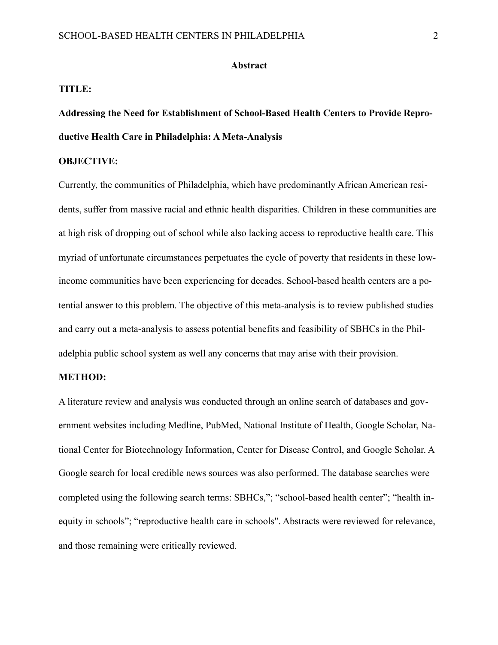#### **Abstract**

#### **TITLE:**

# **Addressing the Need for Establishment of School-Based Health Centers to Provide Reproductive Health Care in Philadelphia: A Meta-Analysis**

# **OBJECTIVE:**

Currently, the communities of Philadelphia, which have predominantly African American residents, suffer from massive racial and ethnic health disparities. Children in these communities are at high risk of dropping out of school while also lacking access to reproductive health care. This myriad of unfortunate circumstances perpetuates the cycle of poverty that residents in these lowincome communities have been experiencing for decades. School-based health centers are a potential answer to this problem. The objective of this meta-analysis is to review published studies and carry out a meta-analysis to assess potential benefits and feasibility of SBHCs in the Philadelphia public school system as well any concerns that may arise with their provision.

# **METHOD:**

A literature review and analysis was conducted through an online search of databases and government websites including Medline, PubMed, National Institute of Health, Google Scholar, National Center for Biotechnology Information, Center for Disease Control, and Google Scholar. A Google search for local credible news sources was also performed. The database searches were completed using the following search terms: SBHCs,"; "school-based health center"; "health inequity in schools"; "reproductive health care in schools". Abstracts were reviewed for relevance, and those remaining were critically reviewed.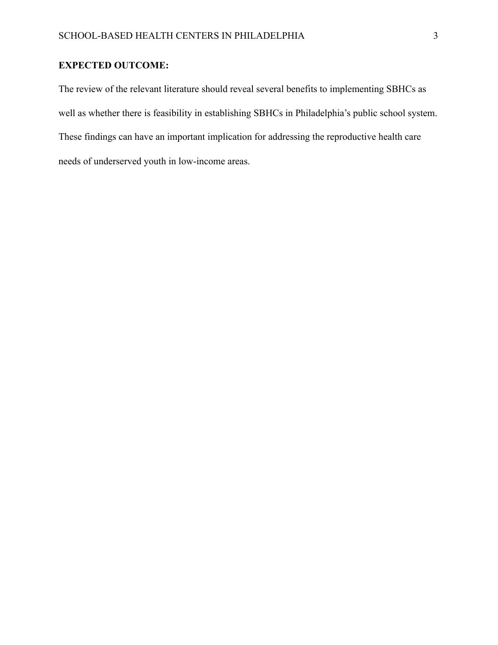# **EXPECTED OUTCOME:**

The review of the relevant literature should reveal several benefits to implementing SBHCs as well as whether there is feasibility in establishing SBHCs in Philadelphia's public school system. These findings can have an important implication for addressing the reproductive health care needs of underserved youth in low-income areas.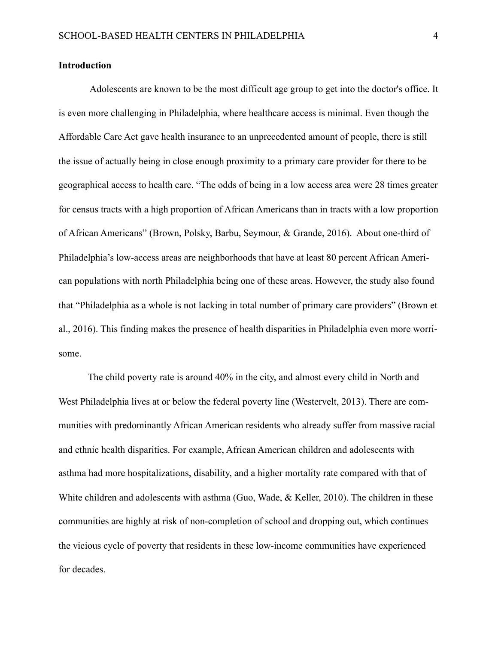# **Introduction**

 Adolescents are known to be the most difficult age group to get into the doctor's office. It is even more challenging in Philadelphia, where healthcare access is minimal. Even though the Affordable Care Act gave health insurance to an unprecedented amount of people, there is still the issue of actually being in close enough proximity to a primary care provider for there to be geographical access to health care. "The odds of being in a low access area were 28 times greater for census tracts with a high proportion of African Americans than in tracts with a low proportion of African Americans" (Brown, Polsky, Barbu, Seymour, & Grande, 2016). About one-third of Philadelphia's low-access areas are neighborhoods that have at least 80 percent African American populations with north Philadelphia being one of these areas. However, the study also found that "Philadelphia as a whole is not lacking in total number of primary care providers" (Brown et al., 2016). This finding makes the presence of health disparities in Philadelphia even more worrisome.

 The child poverty rate is around 40% in the city, and almost every child in North and West Philadelphia lives at or below the federal poverty line (Westervelt, 2013). There are communities with predominantly African American residents who already suffer from massive racial and ethnic health disparities. For example, African American children and adolescents with asthma had more hospitalizations, disability, and a higher mortality rate compared with that of White children and adolescents with asthma (Guo, Wade, & Keller, 2010). The children in these communities are highly at risk of non-completion of school and dropping out, which continues the vicious cycle of poverty that residents in these low-income communities have experienced for decades.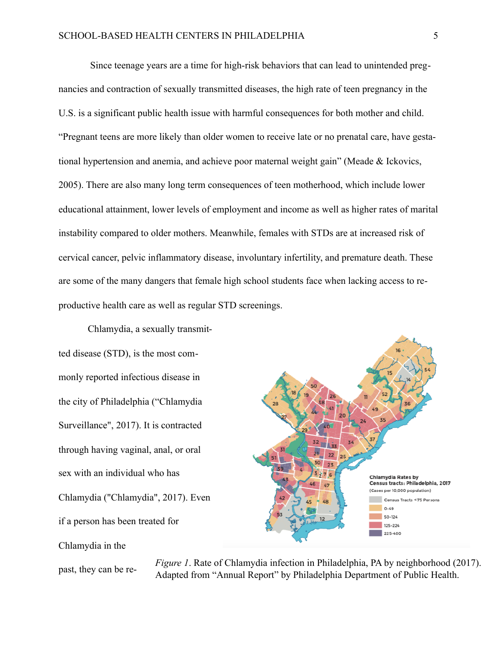Since teenage years are a time for high-risk behaviors that can lead to unintended pregnancies and contraction of sexually transmitted diseases, the high rate of teen pregnancy in the U.S. is a significant public health issue with harmful consequences for both mother and child. "Pregnant teens are more likely than older women to receive late or no prenatal care, have gestational hypertension and anemia, and achieve poor maternal weight gain" (Meade & Ickovics, 2005). There are also many long term consequences of teen motherhood, which include lower educational attainment, lower levels of employment and income as well as higher rates of marital instability compared to older mothers. Meanwhile, females with STDs are at increased risk of cervical cancer, pelvic inflammatory disease, involuntary infertility, and premature death. These are some of the many dangers that female high school students face when lacking access to reproductive health care as well as regular STD screenings.

 Chlamydia, a sexually transmitted disease (STD), is the most commonly reported infectious disease in the city of Philadelphia ("Chlamydia Surveillance", 2017). It is contracted through having vaginal, anal, or oral sex with an individual who has Chlamydia ("Chlamydia", 2017). Even if a person has been treated for Chlamydia in the

past, they can be re- *Figure 1*. Rate of Chlamydia infection in Philadelphia, PA by neighborhood (2017). Adapted from "Annual Report" by Philadelphia Department of Public Health.

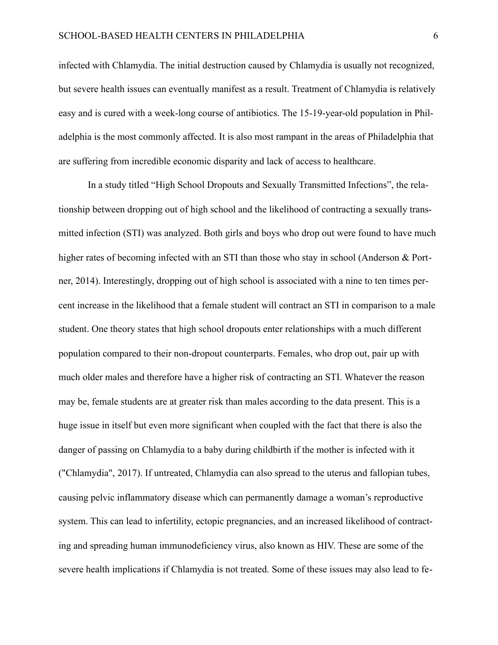infected with Chlamydia. The initial destruction caused by Chlamydia is usually not recognized, but severe health issues can eventually manifest as a result. Treatment of Chlamydia is relatively easy and is cured with a week-long course of antibiotics. The 15-19-year-old population in Philadelphia is the most commonly affected. It is also most rampant in the areas of Philadelphia that are suffering from incredible economic disparity and lack of access to healthcare.

 In a study titled "High School Dropouts and Sexually Transmitted Infections", the relationship between dropping out of high school and the likelihood of contracting a sexually transmitted infection (STI) was analyzed. Both girls and boys who drop out were found to have much higher rates of becoming infected with an STI than those who stay in school (Anderson & Portner, 2014). Interestingly, dropping out of high school is associated with a nine to ten times percent increase in the likelihood that a female student will contract an STI in comparison to a male student. One theory states that high school dropouts enter relationships with a much different population compared to their non-dropout counterparts. Females, who drop out, pair up with much older males and therefore have a higher risk of contracting an STI. Whatever the reason may be, female students are at greater risk than males according to the data present. This is a huge issue in itself but even more significant when coupled with the fact that there is also the danger of passing on Chlamydia to a baby during childbirth if the mother is infected with it ("Chlamydia", 2017). If untreated, Chlamydia can also spread to the uterus and fallopian tubes, causing pelvic inflammatory disease which can permanently damage a woman's reproductive system. This can lead to infertility, ectopic pregnancies, and an increased likelihood of contracting and spreading human immunodeficiency virus, also known as HIV. These are some of the severe health implications if Chlamydia is not treated. Some of these issues may also lead to fe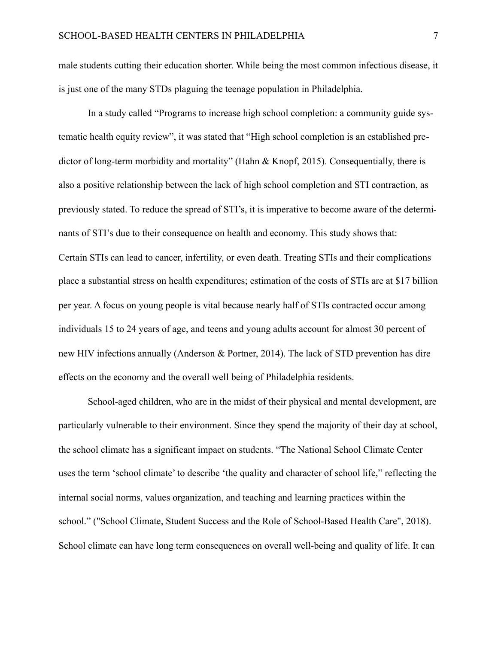male students cutting their education shorter. While being the most common infectious disease, it is just one of the many STDs plaguing the teenage population in Philadelphia.

 In a study called "Programs to increase high school completion: a community guide systematic health equity review", it was stated that "High school completion is an established predictor of long-term morbidity and mortality" (Hahn & Knopf, 2015). Consequentially, there is also a positive relationship between the lack of high school completion and STI contraction, as previously stated. To reduce the spread of STI's, it is imperative to become aware of the determinants of STI's due to their consequence on health and economy. This study shows that: Certain STIs can lead to cancer, infertility, or even death. Treating STIs and their complications place a substantial stress on health expenditures; estimation of the costs of STIs are at \$17 billion per year. A focus on young people is vital because nearly half of STIs contracted occur among individuals 15 to 24 years of age, and teens and young adults account for almost 30 percent of new HIV infections annually (Anderson & Portner, 2014). The lack of STD prevention has dire effects on the economy and the overall well being of Philadelphia residents.

 School-aged children, who are in the midst of their physical and mental development, are particularly vulnerable to their environment. Since they spend the majority of their day at school, the school climate has a significant impact on students. "The National School Climate Center uses the term 'school climate' to describe 'the quality and character of school life," reflecting the internal social norms, values organization, and teaching and learning practices within the school." ("School Climate, Student Success and the Role of School-Based Health Care", 2018). School climate can have long term consequences on overall well-being and quality of life. It can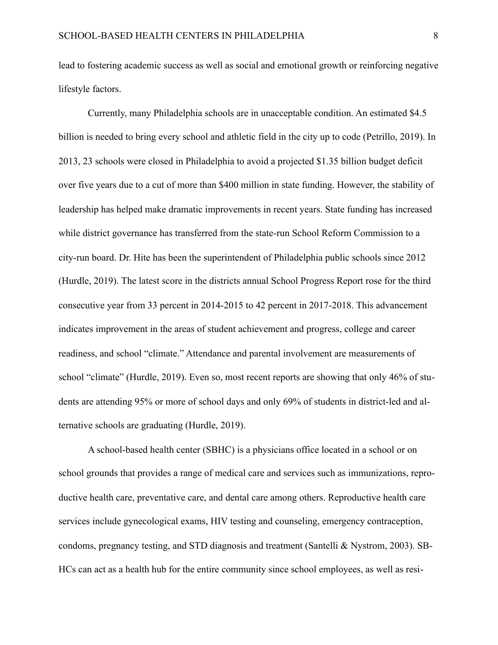lead to fostering academic success as well as social and emotional growth or reinforcing negative lifestyle factors.

 Currently, many Philadelphia schools are in unacceptable condition. An estimated \$4.5 billion is needed to bring every school and athletic field in the city up to code (Petrillo, 2019). In 2013, 23 schools were closed in Philadelphia to avoid a projected \$1.35 billion budget deficit over five years due to a cut of more than \$400 million in state funding. However, the stability of leadership has helped make dramatic improvements in recent years. State funding has increased while district governance has transferred from the state-run School Reform Commission to a city-run board. Dr. Hite has been the superintendent of Philadelphia public schools since 2012 (Hurdle, 2019). The latest score in the districts annual School Progress Report rose for the third consecutive year from 33 percent in 2014-2015 to 42 percent in 2017-2018. This advancement indicates improvement in the areas of student achievement and progress, college and career readiness, and school "climate." Attendance and parental involvement are measurements of school "climate" (Hurdle, 2019). Even so, most recent reports are showing that only 46% of students are attending 95% or more of school days and only 69% of students in district-led and alternative schools are graduating (Hurdle, 2019).

 A school-based health center (SBHC) is a physicians office located in a school or on school grounds that provides a range of medical care and services such as immunizations, reproductive health care, preventative care, and dental care among others. Reproductive health care services include gynecological exams, HIV testing and counseling, emergency contraception, condoms, pregnancy testing, and STD diagnosis and treatment (Santelli & Nystrom, 2003). SB-HCs can act as a health hub for the entire community since school employees, as well as resi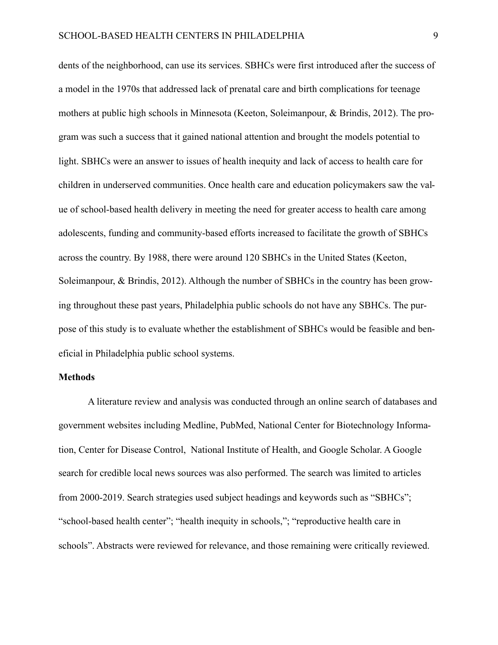dents of the neighborhood, can use its services. SBHCs were first introduced after the success of a model in the 1970s that addressed lack of prenatal care and birth complications for teenage mothers at public high schools in Minnesota (Keeton, Soleimanpour, & Brindis, 2012). The program was such a success that it gained national attention and brought the models potential to light. SBHCs were an answer to issues of health inequity and lack of access to health care for children in underserved communities. Once health care and education policymakers saw the value of school-based health delivery in meeting the need for greater access to health care among adolescents, funding and community-based efforts increased to facilitate the growth of SBHCs across the country. By 1988, there were around 120 SBHCs in the United States (Keeton, Soleimanpour, & Brindis, 2012). Although the number of SBHCs in the country has been growing throughout these past years, Philadelphia public schools do not have any SBHCs. The purpose of this study is to evaluate whether the establishment of SBHCs would be feasible and beneficial in Philadelphia public school systems.

#### **Methods**

 A literature review and analysis was conducted through an online search of databases and government websites including Medline, PubMed, National Center for Biotechnology Information, Center for Disease Control, National Institute of Health, and Google Scholar. A Google search for credible local news sources was also performed. The search was limited to articles from 2000-2019. Search strategies used subject headings and keywords such as "SBHCs"; "school-based health center"; "health inequity in schools,"; "reproductive health care in schools". Abstracts were reviewed for relevance, and those remaining were critically reviewed.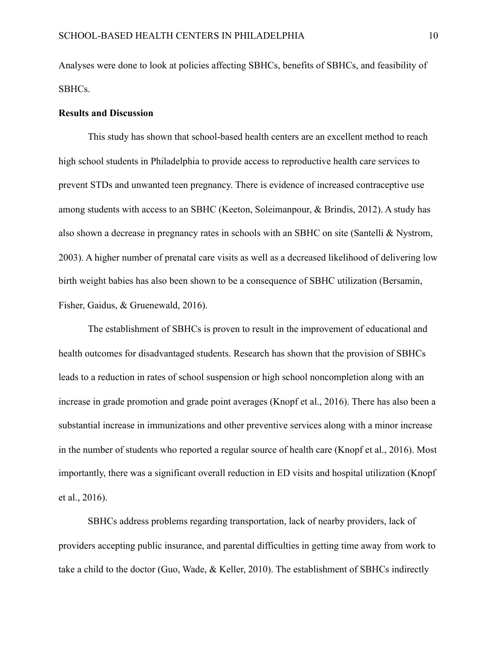Analyses were done to look at policies affecting SBHCs, benefits of SBHCs, and feasibility of SBHCs.

# **Results and Discussion**

This study has shown that school-based health centers are an excellent method to reach high school students in Philadelphia to provide access to reproductive health care services to prevent STDs and unwanted teen pregnancy. There is evidence of increased contraceptive use among students with access to an SBHC (Keeton, Soleimanpour, & Brindis, 2012). A study has also shown a decrease in pregnancy rates in schools with an SBHC on site (Santelli & Nystrom, 2003). A higher number of prenatal care visits as well as a decreased likelihood of delivering low birth weight babies has also been shown to be a consequence of SBHC utilization (Bersamin, Fisher, Gaidus, & Gruenewald, 2016).

 The establishment of SBHCs is proven to result in the improvement of educational and health outcomes for disadvantaged students. Research has shown that the provision of SBHCs leads to a reduction in rates of school suspension or high school noncompletion along with an increase in grade promotion and grade point averages (Knopf et al., 2016). There has also been a substantial increase in immunizations and other preventive services along with a minor increase in the number of students who reported a regular source of health care (Knopf et al., 2016). Most importantly, there was a significant overall reduction in ED visits and hospital utilization (Knopf et al., 2016).

 SBHCs address problems regarding transportation, lack of nearby providers, lack of providers accepting public insurance, and parental difficulties in getting time away from work to take a child to the doctor (Guo, Wade, & Keller, 2010). The establishment of SBHCs indirectly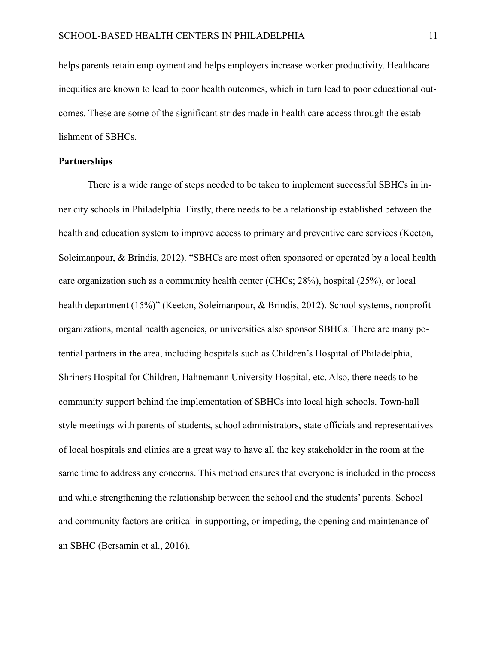helps parents retain employment and helps employers increase worker productivity. Healthcare inequities are known to lead to poor health outcomes, which in turn lead to poor educational outcomes. These are some of the significant strides made in health care access through the establishment of SBHCs.

# **Partnerships**

 There is a wide range of steps needed to be taken to implement successful SBHCs in inner city schools in Philadelphia. Firstly, there needs to be a relationship established between the health and education system to improve access to primary and preventive care services (Keeton, Soleimanpour, & Brindis, 2012). "SBHCs are most often sponsored or operated by a local health care organization such as a community health center (CHCs; 28%), hospital (25%), or local health department (15%)" (Keeton, Soleimanpour, & Brindis, 2012). School systems, nonprofit organizations, mental health agencies, or universities also sponsor SBHCs. There are many potential partners in the area, including hospitals such as Children's Hospital of Philadelphia, Shriners Hospital for Children, Hahnemann University Hospital, etc. Also, there needs to be community support behind the implementation of SBHCs into local high schools. Town-hall style meetings with parents of students, school administrators, state officials and representatives of local hospitals and clinics are a great way to have all the key stakeholder in the room at the same time to address any concerns. This method ensures that everyone is included in the process and while strengthening the relationship between the school and the students' parents. School and community factors are critical in supporting, or impeding, the opening and maintenance of an SBHC (Bersamin et al., 2016).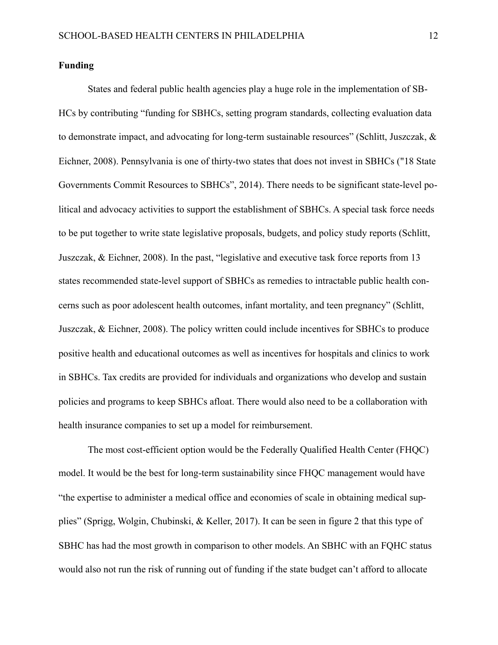### **Funding**

 States and federal public health agencies play a huge role in the implementation of SB-HCs by contributing "funding for SBHCs, setting program standards, collecting evaluation data to demonstrate impact, and advocating for long-term sustainable resources" (Schlitt, Juszczak, & Eichner, 2008). Pennsylvania is one of thirty-two states that does not invest in SBHCs ("18 State Governments Commit Resources to SBHCs", 2014). There needs to be significant state-level political and advocacy activities to support the establishment of SBHCs. A special task force needs to be put together to write state legislative proposals, budgets, and policy study reports (Schlitt, Juszczak, & Eichner, 2008). In the past, "legislative and executive task force reports from 13 states recommended state-level support of SBHCs as remedies to intractable public health concerns such as poor adolescent health outcomes, infant mortality, and teen pregnancy" (Schlitt, Juszczak, & Eichner, 2008). The policy written could include incentives for SBHCs to produce positive health and educational outcomes as well as incentives for hospitals and clinics to work in SBHCs. Tax credits are provided for individuals and organizations who develop and sustain policies and programs to keep SBHCs afloat. There would also need to be a collaboration with health insurance companies to set up a model for reimbursement.

 The most cost-efficient option would be the Federally Qualified Health Center (FHQC) model. It would be the best for long-term sustainability since FHQC management would have "the expertise to administer a medical office and economies of scale in obtaining medical supplies" (Sprigg, Wolgin, Chubinski, & Keller, 2017). It can be seen in figure 2 that this type of SBHC has had the most growth in comparison to other models. An SBHC with an FQHC status would also not run the risk of running out of funding if the state budget can't afford to allocate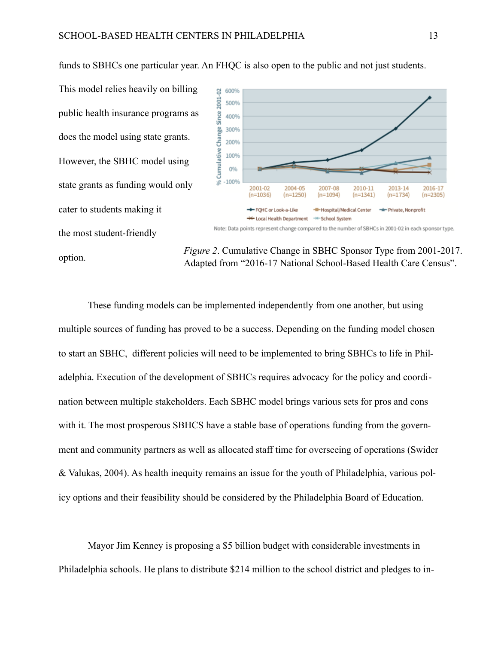This model relies heavily on billing public health insurance programs as does the model using state grants. However, the SBHC model using state grants as funding would only cater to students making it the most student-friendly

option.



*Figure 2*. Cumulative Change in SBHC Sponsor Type from 2001-2017.

Adapted from "2016-17 National School-Based Health Care Census".

 These funding models can be implemented independently from one another, but using multiple sources of funding has proved to be a success. Depending on the funding model chosen to start an SBHC, different policies will need to be implemented to bring SBHCs to life in Philadelphia. Execution of the development of SBHCs requires advocacy for the policy and coordination between multiple stakeholders. Each SBHC model brings various sets for pros and cons with it. The most prosperous SBHCS have a stable base of operations funding from the government and community partners as well as allocated staff time for overseeing of operations (Swider & Valukas, 2004). As health inequity remains an issue for the youth of Philadelphia, various policy options and their feasibility should be considered by the Philadelphia Board of Education.

 Mayor Jim Kenney is proposing a \$5 billion budget with considerable investments in Philadelphia schools. He plans to distribute \$214 million to the school district and pledges to in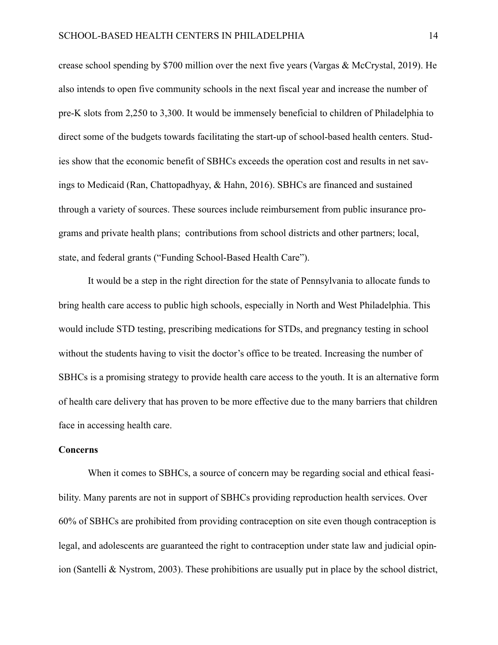crease school spending by \$700 million over the next five years (Vargas & McCrystal, 2019). He also intends to open five community schools in the next fiscal year and increase the number of pre-K slots from 2,250 to 3,300. It would be immensely beneficial to children of Philadelphia to direct some of the budgets towards facilitating the start-up of school-based health centers. Studies show that the economic benefit of SBHCs exceeds the operation cost and results in net savings to Medicaid (Ran, Chattopadhyay, & Hahn, 2016). SBHCs are financed and sustained through a variety of sources. These sources include reimbursement from public insurance programs and private health plans; contributions from school districts and other partners; local, state, and federal grants ("Funding School-Based Health Care").

 It would be a step in the right direction for the state of Pennsylvania to allocate funds to bring health care access to public high schools, especially in North and West Philadelphia. This would include STD testing, prescribing medications for STDs, and pregnancy testing in school without the students having to visit the doctor's office to be treated. Increasing the number of SBHCs is a promising strategy to provide health care access to the youth. It is an alternative form of health care delivery that has proven to be more effective due to the many barriers that children face in accessing health care.

## **Concerns**

 When it comes to SBHCs, a source of concern may be regarding social and ethical feasibility. Many parents are not in support of SBHCs providing reproduction health services. Over 60% of SBHCs are prohibited from providing contraception on site even though contraception is legal, and adolescents are guaranteed the right to contraception under state law and judicial opinion (Santelli & Nystrom, 2003). These prohibitions are usually put in place by the school district,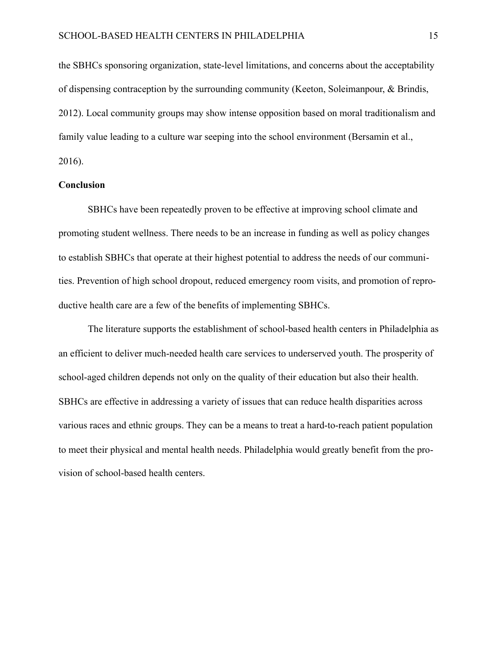the SBHCs sponsoring organization, state-level limitations, and concerns about the acceptability of dispensing contraception by the surrounding community (Keeton, Soleimanpour, & Brindis, 2012). Local community groups may show intense opposition based on moral traditionalism and family value leading to a culture war seeping into the school environment (Bersamin et al., 2016).

#### **Conclusion**

 SBHCs have been repeatedly proven to be effective at improving school climate and promoting student wellness. There needs to be an increase in funding as well as policy changes to establish SBHCs that operate at their highest potential to address the needs of our communities. Prevention of high school dropout, reduced emergency room visits, and promotion of reproductive health care are a few of the benefits of implementing SBHCs.

 The literature supports the establishment of school-based health centers in Philadelphia as an efficient to deliver much-needed health care services to underserved youth. The prosperity of school-aged children depends not only on the quality of their education but also their health. SBHCs are effective in addressing a variety of issues that can reduce health disparities across various races and ethnic groups. They can be a means to treat a hard-to-reach patient population to meet their physical and mental health needs. Philadelphia would greatly benefit from the provision of school-based health centers.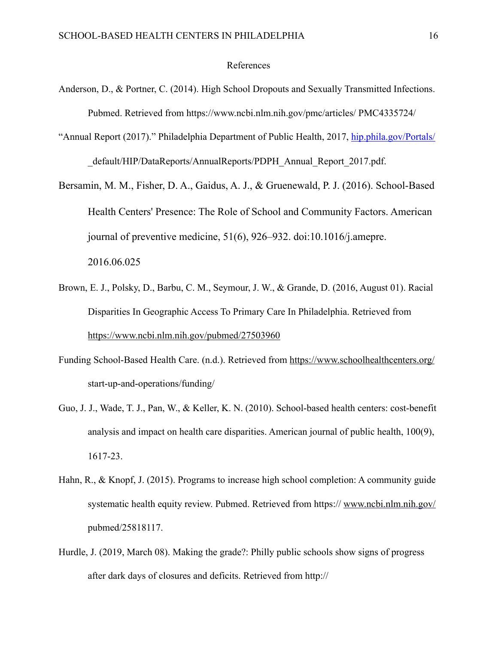#### References

- Anderson, D., & Portner, C. (2014). High School Dropouts and Sexually Transmitted Infections. Pubmed. Retrieved from https://www.ncbi.nlm.nih.gov/pmc/articles/ PMC4335724/
- "Annual Report (2017)." Philadelphia Department of Public Health, 2017, [hip.phila.gov/Portals/](http://hip.phila.gov/Portals/) default/HIP/DataReports/AnnualReports/PDPH\_Annual\_Report\_2017.pdf.
- Bersamin, M. M., Fisher, D. A., Gaidus, A. J., & Gruenewald, P. J. (2016). School-Based Health Centers' Presence: The Role of School and Community Factors. American journal of preventive medicine, 51(6), 926–932. doi:10.1016/j.amepre. 2016.06.025
- Brown, E. J., Polsky, D., Barbu, C. M., Seymour, J. W., & Grande, D. (2016, August 01). Racial Disparities In Geographic Access To Primary Care In Philadelphia. Retrieved from <https://www.ncbi.nlm.nih.gov/pubmed/27503960>
- Funding School-Based Health Care. (n.d.). Retrieved from<https://www.schoolhealthcenters.org/> start-up-and-operations/funding/
- Guo, J. J., Wade, T. J., Pan, W., & Keller, K. N. (2010). School-based health centers: cost-benefit analysis and impact on health care disparities. American journal of public health, 100(9), 1617-23.
- Hahn, R., & Knopf, J. (2015). Programs to increase high school completion: A community guide systematic health equity review. Pubmed. Retrieved from https://www.ncbi.nlm.nih.gov/ pubmed/25818117.
- Hurdle, J. (2019, March 08). Making the grade?: Philly public schools show signs of progress after dark days of closures and deficits. Retrieved from http://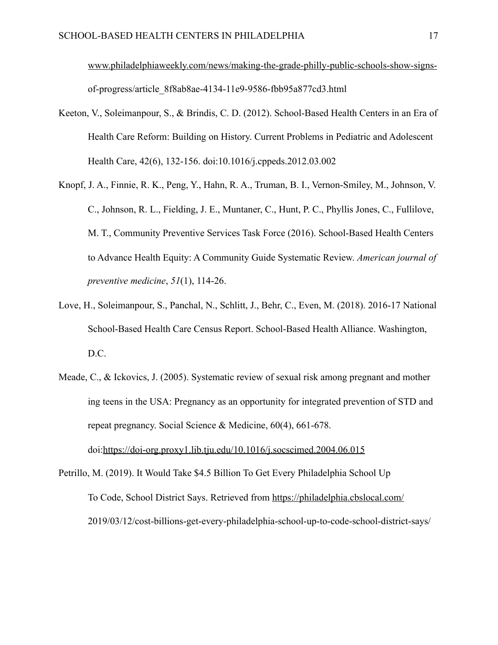[www.philadelphiaweekly.com/news/making-the-grade-philly-public-schools-show-signs](http://www.philadelphiaweekly.com/news/making-the-grade-philly-public-schools-show-signs-)  of-progress/article\_8f8ab8ae-4134-11e9-9586-fbb95a877cd3.html

- Keeton, V., Soleimanpour, S., & Brindis, C. D. (2012). School-Based Health Centers in an Era of Health Care Reform: Building on History. Current Problems in Pediatric and Adolescent Health Care, 42(6), 132-156. doi:10.1016/j.cppeds.2012.03.002
- Knopf, J. A., Finnie, R. K., Peng, Y., Hahn, R. A., Truman, B. I., Vernon-Smiley, M., Johnson, V. C., Johnson, R. L., Fielding, J. E., Muntaner, C., Hunt, P. C., Phyllis Jones, C., Fullilove, M. T., Community Preventive Services Task Force (2016). School-Based Health Centers to Advance Health Equity: A Community Guide Systematic Review. *American journal of preventive medicine*, *51*(1), 114-26.
- Love, H., Soleimanpour, S., Panchal, N., Schlitt, J., Behr, C., Even, M. (2018). 2016-17 National School-Based Health Care Census Report. School-Based Health Alliance. Washington, D.C.
- Meade, C., & Ickovics, J. (2005). Systematic review of sexual risk among pregnant and mother ing teens in the USA: Pregnancy as an opportunity for integrated prevention of STD and repeat pregnancy. Social Science & Medicine, 60(4), 661-678. doi:<https://doi-org.proxy1.lib.tju.edu/10.1016/j.socscimed.2004.06.015>

Petrillo, M. (2019). It Would Take \$4.5 Billion To Get Every Philadelphia School Up To Code, School District Says. Retrieved from <https://philadelphia.cbslocal.com/> 2019/03/12/cost-billions-get-every-philadelphia-school-up-to-code-school-district-says/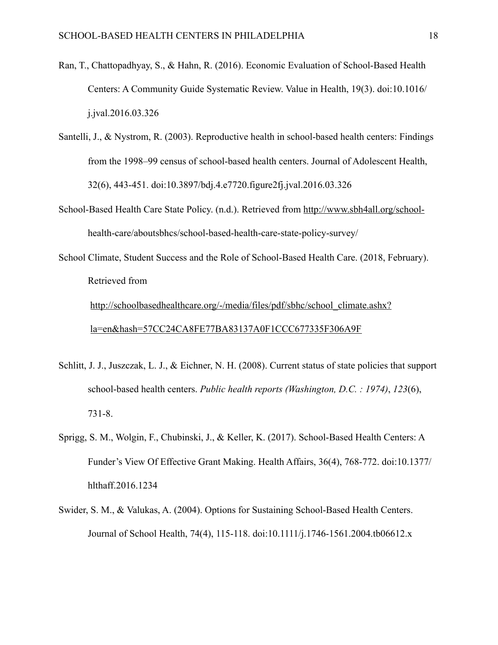- Ran, T., Chattopadhyay, S., & Hahn, R. (2016). Economic Evaluation of School-Based Health Centers: A Community Guide Systematic Review. Value in Health, 19(3). doi:10.1016/ j.jval.2016.03.326
- Santelli, J., & Nystrom, R. (2003). Reproductive health in school-based health centers: Findings from the 1998–99 census of school-based health centers. Journal of Adolescent Health, 32(6), 443-451. doi:10.3897/bdj.4.e7720.figure2fj.jval.2016.03.326
- School-Based Health Care State Policy. (n.d.). Retrieved from [http://www.sbh4all.org/school](http://www.sbh4all.org/school-) health-care/aboutsbhcs/school-based-health-care-state-policy-survey/
- School Climate, Student Success and the Role of School-Based Health Care. (2018, February). Retrieved from

[http://schoolbasedhealthcare.org/-/media/files/pdf/sbhc/school\\_climate.ashx?](http://schoolbasedhealthcare.org/-/media/files/pdf/sbhc/school_climate.ashx?la=en&hash=57CC24CA8FE77BA83137A0F1CCC677335F306A9F) [la=en&hash=57CC24CA8FE77BA83137A0F1CCC677335F306A9F](http://schoolbasedhealthcare.org/-/media/files/pdf/sbhc/school_climate.ashx?la=en&hash=57CC24CA8FE77BA83137A0F1CCC677335F306A9F) 

- Schlitt, J. J., Juszczak, L. J., & Eichner, N. H. (2008). Current status of state policies that support school-based health centers. *Public health reports (Washington, D.C. : 1974)*, *123*(6), 731-8.
- Sprigg, S. M., Wolgin, F., Chubinski, J., & Keller, K. (2017). School-Based Health Centers: A Funder's View Of Effective Grant Making. Health Affairs, 36(4), 768-772. doi:10.1377/ hlthaff.2016.1234
- Swider, S. M., & Valukas, A. (2004). Options for Sustaining School-Based Health Centers. Journal of School Health, 74(4), 115-118. doi:10.1111/j.1746-1561.2004.tb06612.x